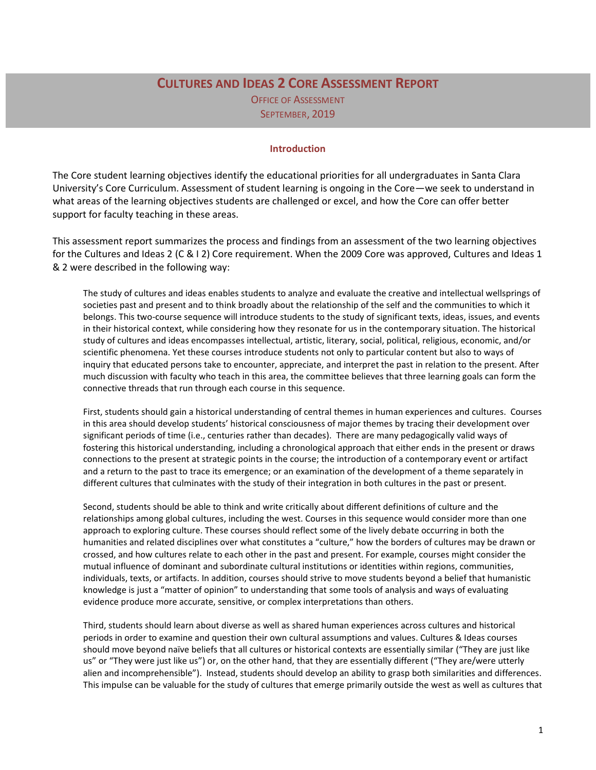# **CULTURES AND IDEAS 2 CORE ASSESSMENT REPORT** OFFICE OF ASSESSMENT SEPTEMBER, 2019

#### **Introduction**

The Core student learning objectives identify the educational priorities for all undergraduates in Santa Clara University's Core Curriculum. Assessment of student learning is ongoing in the Core—we seek to understand in what areas of the learning objectives students are challenged or excel, and how the Core can offer better support for faculty teaching in these areas.

This assessment report summarizes the process and findings from an assessment of the two learning objectives for the Cultures and Ideas 2 (C & I 2) Core requirement. When the 2009 Core was approved, Cultures and Ideas 1 & 2 were described in the following way:

The study of cultures and ideas enables students to analyze and evaluate the creative and intellectual wellsprings of societies past and present and to think broadly about the relationship of the self and the communities to which it belongs. This two-course sequence will introduce students to the study of significant texts, ideas, issues, and events in their historical context, while considering how they resonate for us in the contemporary situation. The historical study of cultures and ideas encompasses intellectual, artistic, literary, social, political, religious, economic, and/or scientific phenomena. Yet these courses introduce students not only to particular content but also to ways of inquiry that educated persons take to encounter, appreciate, and interpret the past in relation to the present. After much discussion with faculty who teach in this area, the committee believes that three learning goals can form the connective threads that run through each course in this sequence.

First, students should gain a historical understanding of central themes in human experiences and cultures. Courses in this area should develop students' historical consciousness of major themes by tracing their development over significant periods of time (i.e., centuries rather than decades). There are many pedagogically valid ways of fostering this historical understanding, including a chronological approach that either ends in the present or draws connections to the present at strategic points in the course; the introduction of a contemporary event or artifact and a return to the past to trace its emergence; or an examination of the development of a theme separately in different cultures that culminates with the study of their integration in both cultures in the past or present.

Second, students should be able to think and write critically about different definitions of culture and the relationships among global cultures, including the west. Courses in this sequence would consider more than one approach to exploring culture. These courses should reflect some of the lively debate occurring in both the humanities and related disciplines over what constitutes a "culture," how the borders of cultures may be drawn or crossed, and how cultures relate to each other in the past and present. For example, courses might consider the mutual influence of dominant and subordinate cultural institutions or identities within regions, communities, individuals, texts, or artifacts. In addition, courses should strive to move students beyond a belief that humanistic knowledge is just a "matter of opinion" to understanding that some tools of analysis and ways of evaluating evidence produce more accurate, sensitive, or complex interpretations than others.

Third, students should learn about diverse as well as shared human experiences across cultures and historical periods in order to examine and question their own cultural assumptions and values. Cultures & Ideas courses should move beyond naïve beliefs that all cultures or historical contexts are essentially similar ("They are just like us" or "They were just like us") or, on the other hand, that they are essentially different ("They are/were utterly alien and incomprehensible"). Instead, students should develop an ability to grasp both similarities and differences. This impulse can be valuable for the study of cultures that emerge primarily outside the west as well as cultures that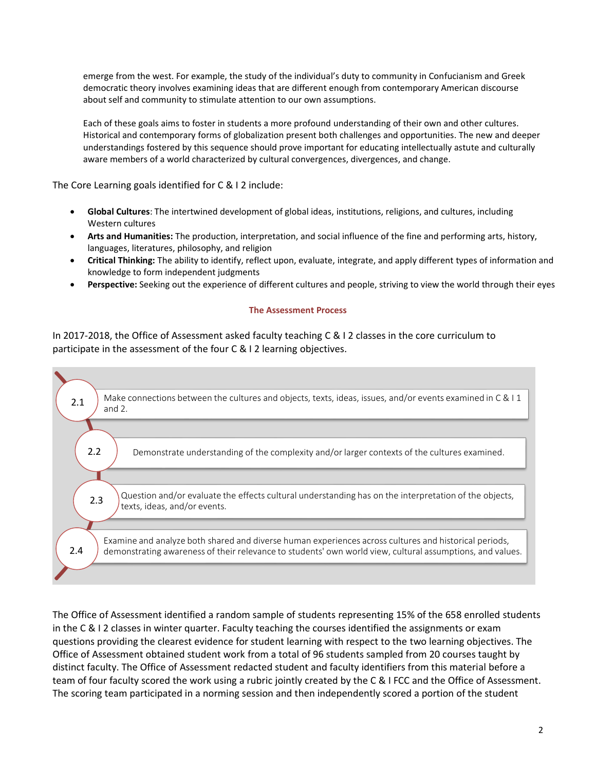emerge from the west. For example, the study of the individual's duty to community in Confucianism and Greek democratic theory involves examining ideas that are different enough from contemporary American discourse about self and community to stimulate attention to our own assumptions.

Each of these goals aims to foster in students a more profound understanding of their own and other cultures. Historical and contemporary forms of globalization present both challenges and opportunities. The new and deeper understandings fostered by this sequence should prove important for educating intellectually astute and culturally aware members of a world characterized by cultural convergences, divergences, and change.

The Core Learning goals identified for C & I 2 include:

- **Global Cultures**: The intertwined development of global ideas, institutions, religions, and cultures, including Western cultures
- **Arts and Humanities:** The production, interpretation, and social influence of the fine and performing arts, history, languages, literatures, philosophy, and religion
- **Critical Thinking:** The ability to identify, reflect upon, evaluate, integrate, and apply different types of information and knowledge to form independent judgments
- **Perspective:** Seeking out the experience of different cultures and people, striving to view the world through their eyes

#### **The Assessment Process**

In 2017-2018, the Office of Assessment asked faculty teaching C & I 2 classes in the core curriculum to participate in the assessment of the four C & I 2 learning objectives.



The Office of Assessment identified a random sample of students representing 15% of the 658 enrolled students in the C & I 2 classes in winter quarter. Faculty teaching the courses identified the assignments or exam questions providing the clearest evidence for student learning with respect to the two learning objectives. The Office of Assessment obtained student work from a total of 96 students sampled from 20 courses taught by distinct faculty. The Office of Assessment redacted student and faculty identifiers from this material before a team of four faculty scored the work using a rubric jointly created by the C & I FCC and the Office of Assessment. The scoring team participated in a norming session and then independently scored a portion of the student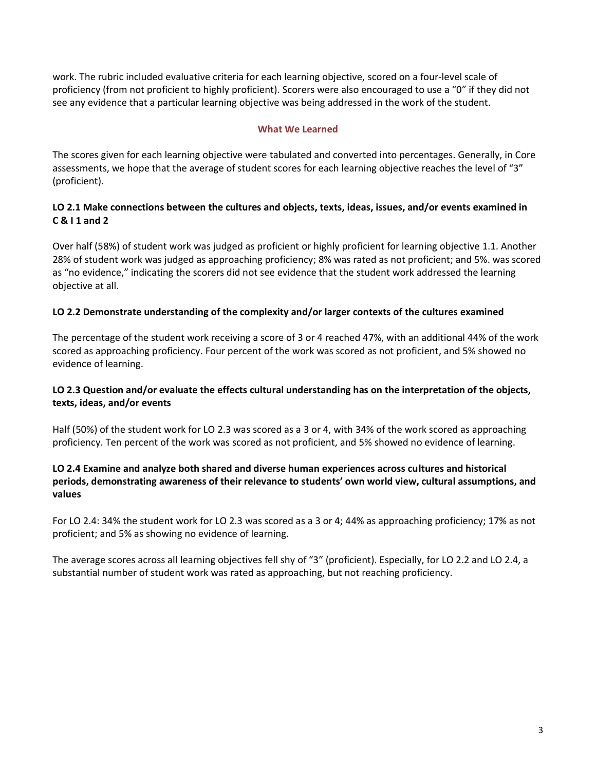work. The rubric included evaluative criteria for each learning objective, scored on a four-level scale of proficiency (from not proficient to highly proficient). Scorers were also encouraged to use a "0" if they did not see any evidence that a particular learning objective was being addressed in the work of the student.

#### **What We Learned**

The scores given for each learning objective were tabulated and converted into percentages. Generally, in Core assessments, we hope that the average of student scores for each learning objective reaches the level of "3" (proficient).

## **LO 2.1 Make connections between the cultures and objects, texts, ideas, issues, and/or events examined in C & I 1 and 2**

Over half (58%) of student work was judged as proficient or highly proficient for learning objective 1.1. Another 28% of student work was judged as approaching proficiency; 8% was rated as not proficient; and 5%. was scored as "no evidence," indicating the scorers did not see evidence that the student work addressed the learning objective at all.

# **LO 2.2 Demonstrate understanding of the complexity and/or larger contexts of the cultures examined**

The percentage of the student work receiving a score of 3 or 4 reached 47%, with an additional 44% of the work scored as approaching proficiency. Four percent of the work was scored as not proficient, and 5% showed no evidence of learning.

## **LO 2.3 Question and/or evaluate the effects cultural understanding has on the interpretation of the objects, texts, ideas, and/or events**

Half (50%) of the student work for LO 2.3 was scored as a 3 or 4, with 34% of the work scored as approaching proficiency. Ten percent of the work was scored as not proficient, and 5% showed no evidence of learning.

# **LO 2.4 Examine and analyze both shared and diverse human experiences across cultures and historical periods, demonstrating awareness of their relevance to students' own world view, cultural assumptions, and values**

For LO 2.4: 34% the student work for LO 2.3 was scored as a 3 or 4; 44% as approaching proficiency; 17% as not proficient; and 5% as showing no evidence of learning.

The average scores across all learning objectives fell shy of "3" (proficient). Especially, for LO 2.2 and LO 2.4, a substantial number of student work was rated as approaching, but not reaching proficiency.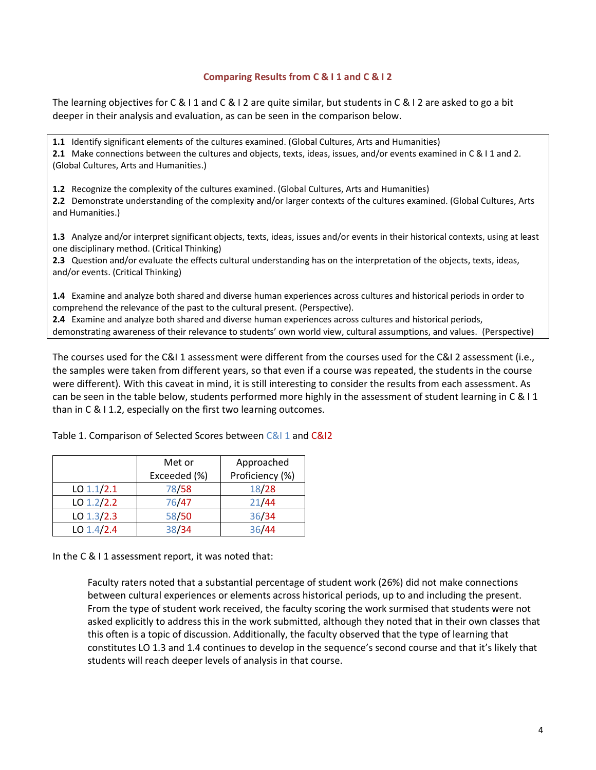#### **Comparing Results from C & I 1 and C & I 2**

The learning objectives for C & I 1 and C & I 2 are quite similar, but students in C & I 2 are asked to go a bit deeper in their analysis and evaluation, as can be seen in the comparison below.

**1.1** Identify significant elements of the cultures examined. (Global Cultures, Arts and Humanities) **2.1** Make connections between the cultures and objects, texts, ideas, issues, and/or events examined in C & I 1 and 2. (Global Cultures, Arts and Humanities.)

**1.2** Recognize the complexity of the cultures examined. (Global Cultures, Arts and Humanities)

**2.2** Demonstrate understanding of the complexity and/or larger contexts of the cultures examined. (Global Cultures, Arts and Humanities.)

**1.3** Analyze and/or interpret significant objects, texts, ideas, issues and/or events in their historical contexts, using at least one disciplinary method. (Critical Thinking)

**2.3** Question and/or evaluate the effects cultural understanding has on the interpretation of the objects, texts, ideas, and/or events. (Critical Thinking)

**1.4** Examine and analyze both shared and diverse human experiences across cultures and historical periods in order to comprehend the relevance of the past to the cultural present. (Perspective).

**2.4** Examine and analyze both shared and diverse human experiences across cultures and historical periods, demonstrating awareness of their relevance to students' own world view, cultural assumptions, and values. (Perspective)

The courses used for the C&I 1 assessment were different from the courses used for the C&I 2 assessment (i.e., the samples were taken from different years, so that even if a course was repeated, the students in the course were different). With this caveat in mind, it is still interesting to consider the results from each assessment. As can be seen in the table below, students performed more highly in the assessment of student learning in C & I 1 than in C & I 1.2, especially on the first two learning outcomes.

|              | Approached<br>Met or |                 |
|--------------|----------------------|-----------------|
|              | Exceeded (%)         | Proficiency (%) |
| $LO$ 1.1/2.1 | 78/58                | 18/28           |
| LO $1.2/2.2$ | 76/47                | 21/44           |
| LO $1.3/2.3$ | 58/50                | 36/34           |
| LO $1.4/2.4$ | 38/34                | 36/44           |

Table 1. Comparison of Selected Scores between C&I 1 and C&I2

In the C & I 1 assessment report, it was noted that:

Faculty raters noted that a substantial percentage of student work (26%) did not make connections between cultural experiences or elements across historical periods, up to and including the present. From the type of student work received, the faculty scoring the work surmised that students were not asked explicitly to address this in the work submitted, although they noted that in their own classes that this often is a topic of discussion. Additionally, the faculty observed that the type of learning that constitutes LO 1.3 and 1.4 continues to develop in the sequence's second course and that it's likely that students will reach deeper levels of analysis in that course.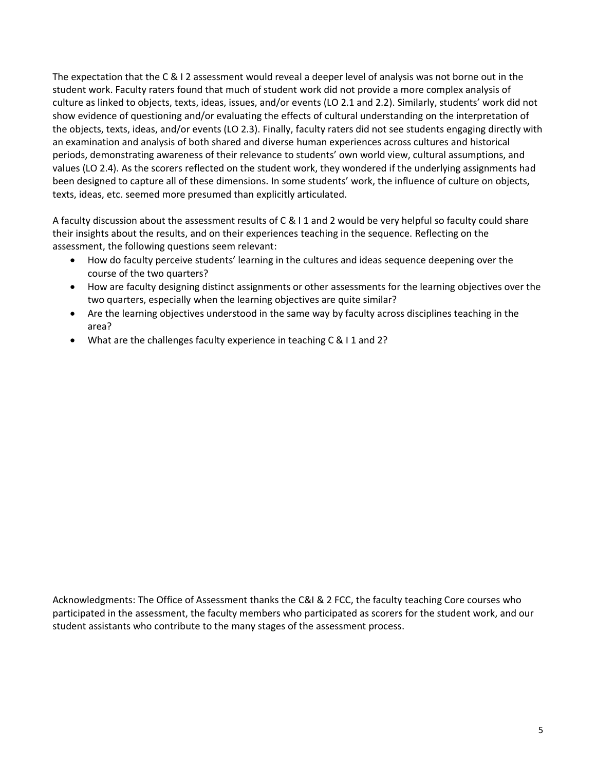The expectation that the C & I 2 assessment would reveal a deeper level of analysis was not borne out in the student work. Faculty raters found that much of student work did not provide a more complex analysis of culture as linked to objects, texts, ideas, issues, and/or events (LO 2.1 and 2.2). Similarly, students' work did not show evidence of questioning and/or evaluating the effects of cultural understanding on the interpretation of the objects, texts, ideas, and/or events (LO 2.3). Finally, faculty raters did not see students engaging directly with an examination and analysis of both shared and diverse human experiences across cultures and historical periods, demonstrating awareness of their relevance to students' own world view, cultural assumptions, and values (LO 2.4). As the scorers reflected on the student work, they wondered if the underlying assignments had been designed to capture all of these dimensions. In some students' work, the influence of culture on objects, texts, ideas, etc. seemed more presumed than explicitly articulated.

A faculty discussion about the assessment results of C & I 1 and 2 would be very helpful so faculty could share their insights about the results, and on their experiences teaching in the sequence. Reflecting on the assessment, the following questions seem relevant:

- How do faculty perceive students' learning in the cultures and ideas sequence deepening over the course of the two quarters?
- How are faculty designing distinct assignments or other assessments for the learning objectives over the two quarters, especially when the learning objectives are quite similar?
- Are the learning objectives understood in the same way by faculty across disciplines teaching in the area?
- What are the challenges faculty experience in teaching C & I 1 and 2?

Acknowledgments: The Office of Assessment thanks the C&I & 2 FCC, the faculty teaching Core courses who participated in the assessment, the faculty members who participated as scorers for the student work, and our student assistants who contribute to the many stages of the assessment process.